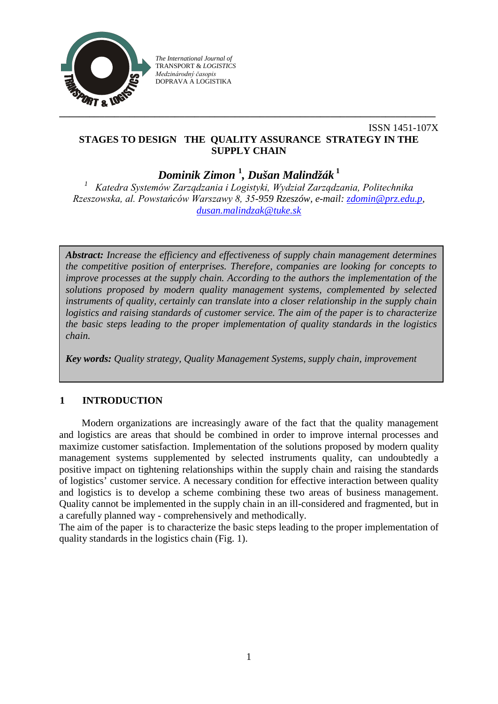

*The International Journal of* TRANSPORT & *LOGISTICS Medzinárodný časopis* DOPRAVA A LOGISTIKA

# ISSN 1451-107X **STAGES TO DESIGN THE QUALITY ASSURANCE STRATEGY IN THE SUPPLY CHAIN**

*Dominik Zimon* **<sup>1</sup>** *, Dušan Malindžák* **<sup>1</sup>**

*<sup>1</sup> Katedra Systemów Zarządzania i Logistyki, Wydział Zarządzania, Politechnika Rzeszowska, al. Powstańców Warszawy 8, 35-959 Rzeszów, e-mail: [zdomin@prz.edu.p,](mailto:zdomin@prz.edu.p) [dusan.malindzak@tuke.sk](mailto:dusan.malindzak@tuke.sk)*

*Abstract: Increase the efficiency and effectiveness of supply chain management determines the competitive position of enterprises. Therefore, companies are looking for concepts to improve processes at the supply chain. According to the authors the implementation of the solutions proposed by modern quality management systems, complemented by selected instruments of quality, certainly can translate into a closer relationship in the supply chain logistics and raising standards of customer service. The aim of the paper is to characterize the basic steps leading to the proper implementation of quality standards in the logistics chain.*

*Key words: Quality strategy, Quality Management Systems, supply chain, improvement*

# **1 INTRODUCTION**

Modern organizations are increasingly aware of the fact that the quality management and logistics are areas that should be combined in order to improve internal processes and maximize customer satisfaction. Implementation of the solutions proposed by modern quality management systems supplemented by selected instruments quality, can undoubtedly a positive impact on tightening relationships within the supply chain and raising the standards of logistics' customer service. A necessary condition for effective interaction between quality and logistics is to develop a scheme combining these two areas of business management. Quality cannot be implemented in the supply chain in an ill-considered and fragmented, but in a carefully planned way - comprehensively and methodically.

The aim of the paper is to characterize the basic steps leading to the proper implementation of quality standards in the logistics chain (Fig. 1).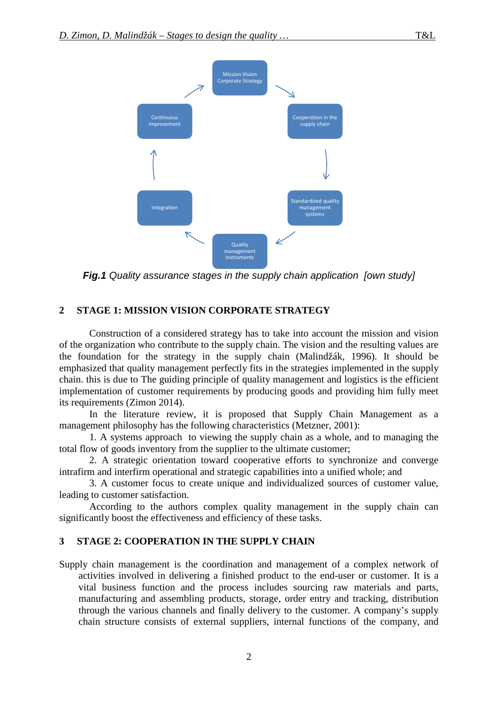

*Fig.1 Quality assurance stages in the supply chain application [own study]*

## **2 STAGE 1: MISSION VISION CORPORATE STRATEGY**

Construction of a considered strategy has to take into account the mission and vision of the organization who contribute to the supply chain. The vision and the resulting values are the foundation for the strategy in the supply chain (Malindžák, 1996). It should be emphasized that quality management perfectly fits in the strategies implemented in the supply chain. this is due to The guiding principle of quality management and logistics is the efficient implementation of customer requirements by producing goods and providing him fully meet its requirements (Zimon 2014).

In the literature review, it is proposed that Supply Chain Management as a management philosophy has the following characteristics (Metzner, 2001):

1. A systems approach to viewing the supply chain as a whole, and to managing the total flow of goods inventory from the supplier to the ultimate customer;

2. A strategic orientation toward cooperative efforts to synchronize and converge intrafirm and interfirm operational and strategic capabilities into a unified whole; and

3. A customer focus to create unique and individualized sources of customer value, leading to customer satisfaction.

According to the authors complex quality management in the supply chain can significantly boost the effectiveness and efficiency of these tasks.

### **3 STAGE 2: COOPERATION IN THE SUPPLY CHAIN**

Supply chain management is the coordination and management of a complex network of activities involved in delivering a finished product to the end-user or customer. It is a vital business function and the process includes sourcing raw materials and parts, manufacturing and assembling products, storage, order entry and tracking, distribution through the various channels and finally delivery to the customer. A company's supply chain structure consists of external suppliers, internal functions of the company, and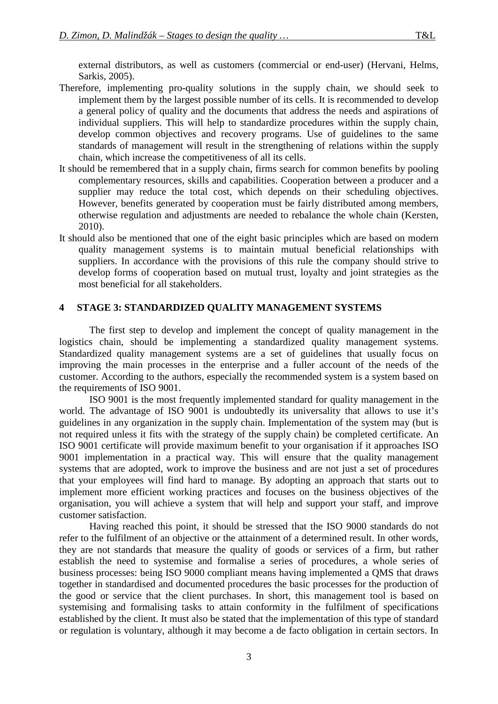- Therefore, implementing pro-quality solutions in the supply chain, we should seek to implement them by the largest possible number of its cells. It is recommended to develop a general policy of quality and the documents that address the needs and aspirations of individual suppliers. This will help to standardize procedures within the supply chain, develop common objectives and recovery programs. Use of guidelines to the same standards of management will result in the strengthening of relations within the supply chain, which increase the competitiveness of all its cells.
- It should be remembered that in a supply chain, firms search for common benefits by pooling complementary resources, skills and capabilities. Cooperation between a producer and a supplier may reduce the total cost, which depends on their scheduling objectives. However, benefits generated by cooperation must be fairly distributed among members, otherwise regulation and adjustments are needed to rebalance the whole chain (Kersten, 2010).
- It should also be mentioned that one of the eight basic principles which are based on modern quality management systems is to maintain mutual beneficial relationships with suppliers. In accordance with the provisions of this rule the company should strive to develop forms of cooperation based on mutual trust, loyalty and joint strategies as the most beneficial for all stakeholders.

## **4 STAGE 3: STANDARDIZED QUALITY MANAGEMENT SYSTEMS**

The first step to develop and implement the concept of quality management in the logistics chain, should be implementing a standardized quality management systems. Standardized quality management systems are a set of guidelines that usually focus on improving the main processes in the enterprise and a fuller account of the needs of the customer. According to the authors, especially the recommended system is a system based on the requirements of ISO 9001.

ISO 9001 is the most frequently implemented standard for quality management in the world. The advantage of ISO 9001 is undoubtedly its universality that allows to use it's guidelines in any organization in the supply chain. Implementation of the system may (but is not required unless it fits with the strategy of the supply chain) be completed certificate. An ISO 9001 certificate will provide maximum benefit to your organisation if it approaches ISO 9001 implementation in a practical way. This will ensure that the quality management systems that are adopted, work to improve the business and are not just a set of procedures that your employees will find hard to manage. By adopting an approach that starts out to implement more efficient working practices and focuses on the business objectives of the organisation, you will achieve a system that will help and support your staff, and improve customer satisfaction.

Having reached this point, it should be stressed that the ISO 9000 standards do not refer to the fulfilment of an objective or the attainment of a determined result. In other words, they are not standards that measure the quality of goods or services of a firm, but rather establish the need to systemise and formalise a series of procedures, a whole series of business processes: being ISO 9000 compliant means having implemented a QMS that draws together in standardised and documented procedures the basic processes for the production of the good or service that the client purchases. In short, this management tool is based on systemising and formalising tasks to attain conformity in the fulfilment of specifications established by the client. It must also be stated that the implementation of this type of standard or regulation is voluntary, although it may become a de facto obligation in certain sectors. In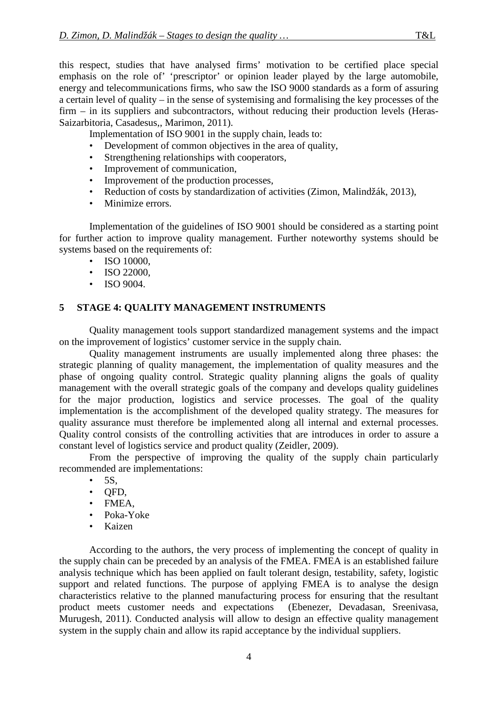this respect, studies that have analysed firms' motivation to be certified place special emphasis on the role of' 'prescriptor' or opinion leader played by the large automobile, energy and telecommunications firms, who saw the ISO 9000 standards as a form of assuring a certain level of quality – in the sense of systemising and formalising the key processes of the firm – in its suppliers and subcontractors, without reducing their production levels (Heras-Saizarbitoria, Casadesus,, Marimon, 2011).

Implementation of ISO 9001 in the supply chain, leads to:

- Development of common objectives in the area of quality,
- Strengthening relationships with cooperators,
- Improvement of communication,
- Improvement of the production processes,
- Reduction of costs by standardization of activities (Zimon, Malindžák, 2013),
- Minimize errors.

Implementation of the guidelines of ISO 9001 should be considered as a starting point for further action to improve quality management. Further noteworthy systems should be systems based on the requirements of:

- ISO 10000.
- ISO 22000,
- ISO 9004.

# **5 STAGE 4: QUALITY MANAGEMENT INSTRUMENTS**

Quality management tools support standardized management systems and the impact on the improvement of logistics' customer service in the supply chain.

Quality management instruments are usually implemented along three phases: the strategic planning of quality management, the implementation of quality measures and the phase of ongoing quality control. Strategic quality planning aligns the goals of quality management with the overall strategic goals of the company and develops quality guidelines for the major production, logistics and service processes. The goal of the quality implementation is the accomplishment of the developed quality strategy. The measures for quality assurance must therefore be implemented along all internal and external processes. Quality control consists of the controlling activities that are introduces in order to assure a constant level of logistics service and product quality (Zeidler, 2009).

From the perspective of improving the quality of the supply chain particularly recommended are implementations:

- $\bullet$  5S,
- QFD,
- FMEA,
- Poka-Yoke
- Kaizen

According to the authors, the very process of implementing the concept of quality in the supply chain can be preceded by an analysis of the FMEA. FMEA is an established failure analysis technique which has been applied on fault tolerant design, testability, safety, logistic support and related functions. The purpose of applying FMEA is to analyse the design characteristics relative to the planned manufacturing process for ensuring that the resultant product meets customer needs and expectations (Ebenezer, Devadasan, Sreenivasa, Murugesh, 2011). Conducted analysis will allow to design an effective quality management system in the supply chain and allow its rapid acceptance by the individual suppliers.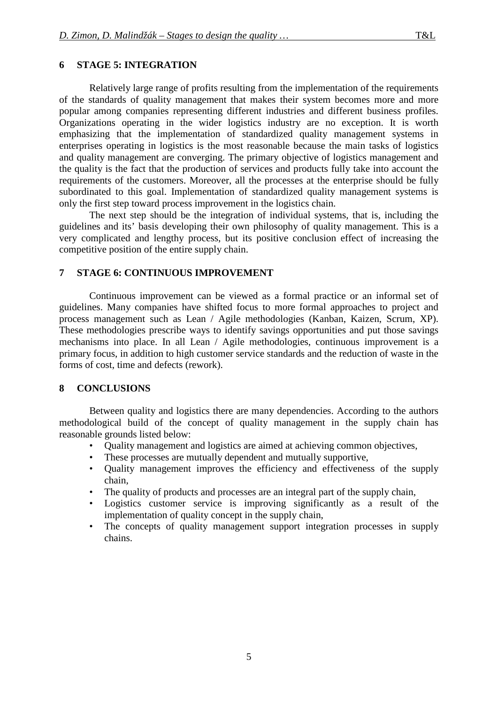# **6 STAGE 5: INTEGRATION**

Relatively large range of profits resulting from the implementation of the requirements of the standards of quality management that makes their system becomes more and more popular among companies representing different industries and different business profiles. Organizations operating in the wider logistics industry are no exception. It is worth emphasizing that the implementation of standardized quality management systems in enterprises operating in logistics is the most reasonable because the main tasks of logistics and quality management are converging. The primary objective of logistics management and the quality is the fact that the production of services and products fully take into account the requirements of the customers. Moreover, all the processes at the enterprise should be fully subordinated to this goal. Implementation of standardized quality management systems is only the first step toward process improvement in the logistics chain.

The next step should be the integration of individual systems, that is, including the guidelines and its' basis developing their own philosophy of quality management. This is a very complicated and lengthy process, but its positive conclusion effect of increasing the competitive position of the entire supply chain.

# **7 STAGE 6: CONTINUOUS IMPROVEMENT**

Continuous improvement can be viewed as a formal practice or an informal set of guidelines. Many companies have shifted focus to more formal approaches to project and process management such as Lean / Agile methodologies (Kanban, Kaizen, Scrum, XP). These methodologies prescribe ways to identify savings opportunities and put those savings mechanisms into place. In all Lean / Agile methodologies, continuous improvement is a primary focus, in addition to high customer service standards and the reduction of waste in the forms of cost, time and defects (rework).

## **8 CONCLUSIONS**

Between quality and logistics there are many dependencies. According to the authors methodological build of the concept of quality management in the supply chain has reasonable grounds listed below:

- Quality management and logistics are aimed at achieving common objectives,
- These processes are mutually dependent and mutually supportive,
- Quality management improves the efficiency and effectiveness of the supply chain,
- The quality of products and processes are an integral part of the supply chain,
- Logistics customer service is improving significantly as a result of the implementation of quality concept in the supply chain,
- The concepts of quality management support integration processes in supply chains.